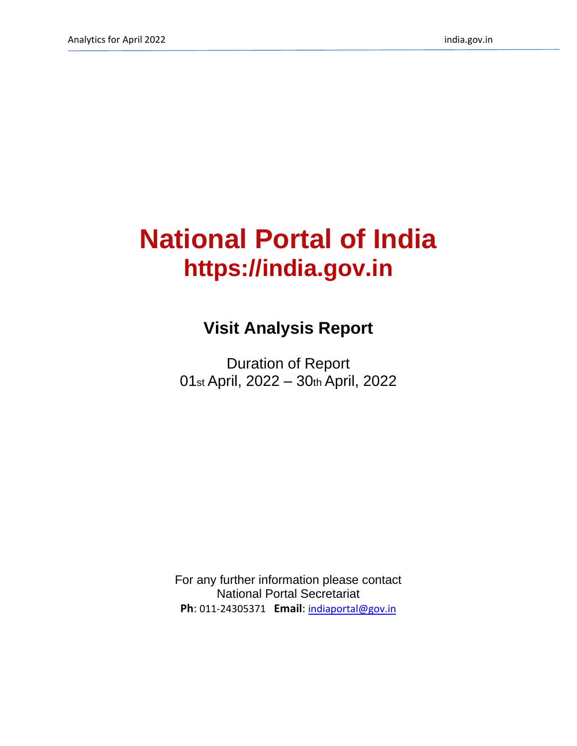# **National Portal of India https://india.gov.in**

## **Visit Analysis Report**

Duration of Report 01st April, 2022 – 30th April, 2022

For any further information please contact National Portal Secretariat **Ph**: 011-24305371 **Email**: [indiaportal@gov.in](mailto:indiaportal@gov.in)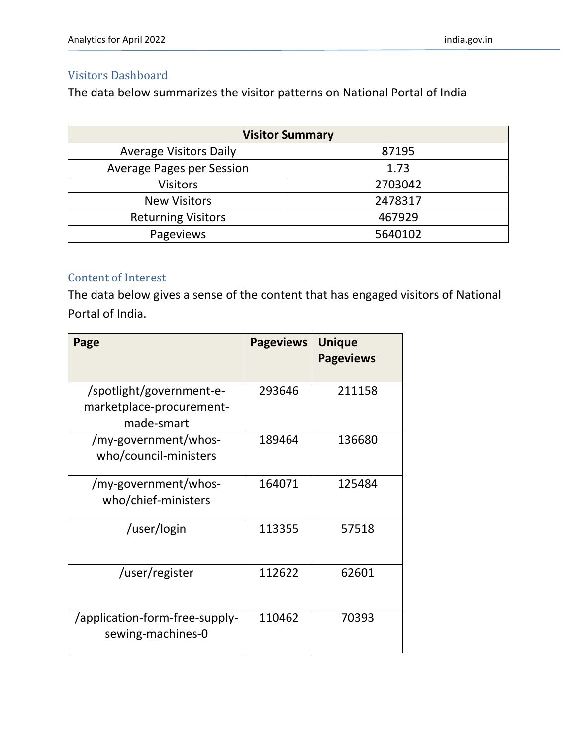#### Visitors Dashboard

The data below summarizes the visitor patterns on National Portal of India

| <b>Visitor Summary</b>           |         |  |  |  |
|----------------------------------|---------|--|--|--|
| <b>Average Visitors Daily</b>    | 87195   |  |  |  |
| <b>Average Pages per Session</b> | 1.73    |  |  |  |
| <b>Visitors</b>                  | 2703042 |  |  |  |
| <b>New Visitors</b>              | 2478317 |  |  |  |
| <b>Returning Visitors</b>        | 467929  |  |  |  |
| Pageviews                        | 5640102 |  |  |  |

#### Content of Interest

The data below gives a sense of the content that has engaged visitors of National Portal of India.

| Page                                                               | <b>Pageviews</b> | <b>Unique</b><br><b>Pageviews</b> |
|--------------------------------------------------------------------|------------------|-----------------------------------|
| /spotlight/government-e-<br>marketplace-procurement-<br>made-smart | 293646           | 211158                            |
| /my-government/whos-<br>who/council-ministers                      | 189464           | 136680                            |
| /my-government/whos-<br>who/chief-ministers                        | 164071           | 125484                            |
| /user/login                                                        | 113355           | 57518                             |
| /user/register                                                     | 112622           | 62601                             |
| /application-form-free-supply-<br>sewing-machines-0                | 110462           | 70393                             |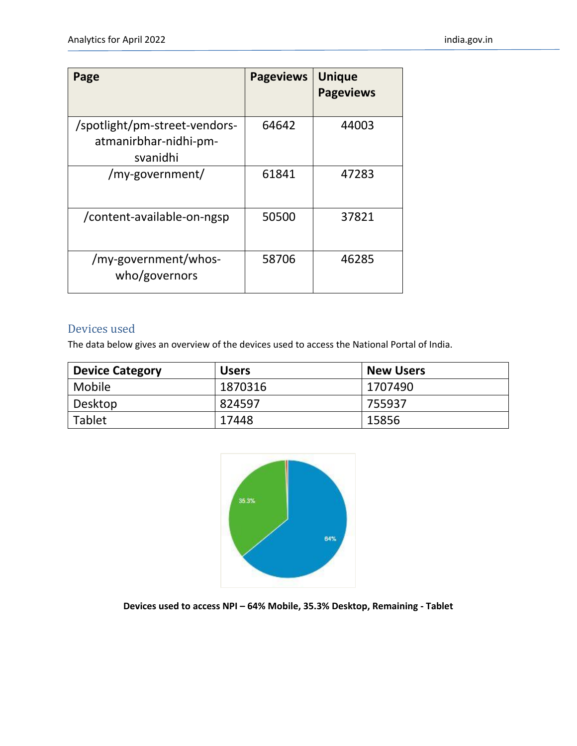| Page                                                               | <b>Pageviews</b> | <b>Unique</b><br><b>Pageviews</b> |
|--------------------------------------------------------------------|------------------|-----------------------------------|
| /spotlight/pm-street-vendors-<br>atmanirbhar-nidhi-pm-<br>svanidhi | 64642            | 44003                             |
| /my-government/                                                    | 61841            | 47283                             |
| /content-available-on-ngsp                                         | 50500            | 37821                             |
| /my-government/whos-<br>who/governors                              | 58706            | 46285                             |

#### Devices used

The data below gives an overview of the devices used to access the National Portal of India.

| <b>Device Category</b> | <b>Users</b> | <b>New Users</b> |
|------------------------|--------------|------------------|
| Mobile                 | 1870316      | 1707490          |
| Desktop                | 824597       | 755937           |
| Tablet                 | 17448        | 15856            |



**Devices used to access NPI – 64% Mobile, 35.3% Desktop, Remaining - Tablet**